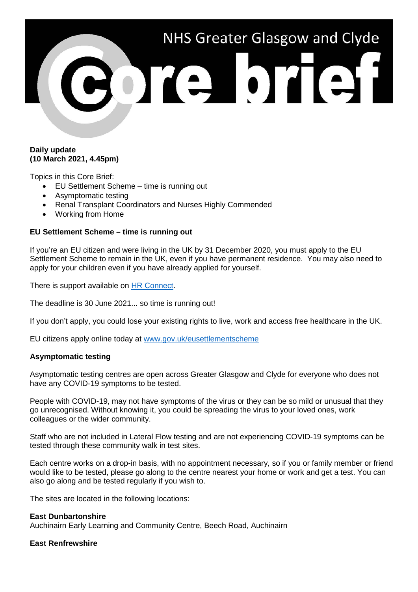

## **Daily update (10 March 2021, 4.45pm)**

Topics in this Core Brief:

- EU Settlement Scheme time is running out
- Asymptomatic testing
- Renal Transplant Coordinators and Nurses Highly Commended
- Working from Home

# **EU Settlement Scheme – time is running out**

If you're an EU citizen and were living in the UK by 31 December 2020, you must apply to the EU Settlement Scheme to remain in the UK, even if you have permanent residence. You may also need to apply for your children even if you have already applied for yourself.

There is support available on **HR Connect**.

The deadline is 30 June 2021... so time is running out!

If you don't apply, you could lose your existing rights to live, work and access free healthcare in the UK.

EU citizens apply online today at [www.gov.uk/eusettlementscheme](http://www.gov.uk/eusettlementscheme)

# **Asymptomatic testing**

Asymptomatic testing centres are open across Greater Glasgow and Clyde for everyone who does not have any COVID-19 symptoms to be tested.

People with COVID-19, may not have symptoms of the virus or they can be so mild or unusual that they go unrecognised. Without knowing it, you could be spreading the virus to your loved ones, work colleagues or the wider community.

Staff who are not included in Lateral Flow testing and are not experiencing COVID-19 symptoms can be tested through these community walk in test sites.

Each centre works on a drop-in basis, with no appointment necessary, so if you or family member or friend would like to be tested, please go along to the centre nearest your home or work and get a test. You can also go along and be tested regularly if you wish to.

The sites are located in the following locations:

#### **East Dunbartonshire**

Auchinairn Early Learning and Community Centre, Beech Road, Auchinairn

# **East Renfrewshire**